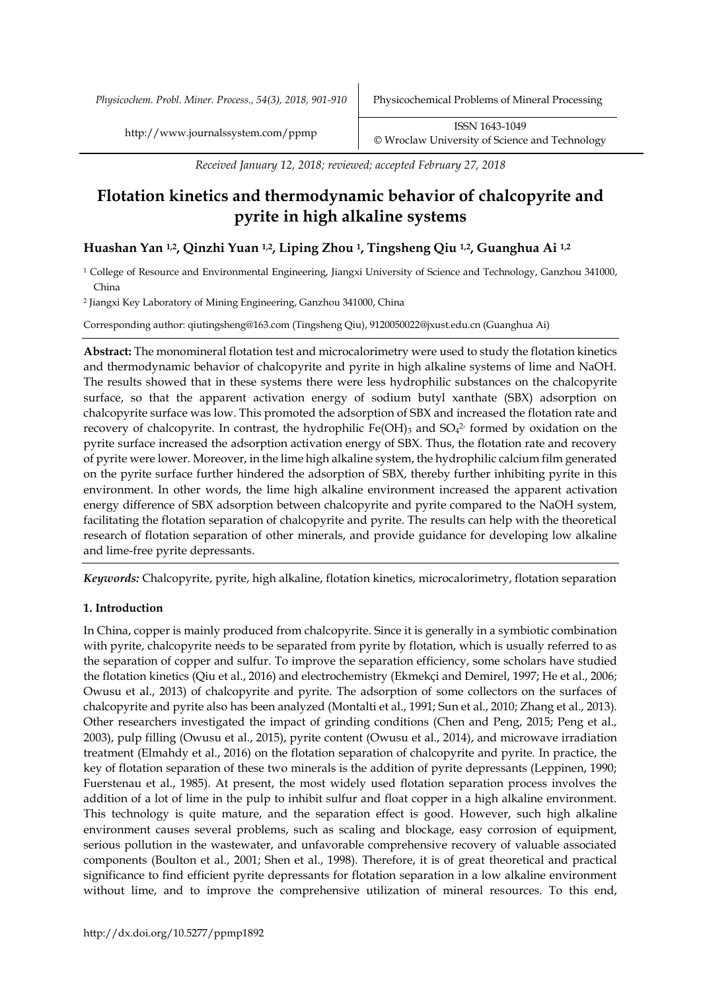*Physicochem. Probl. Miner. Process., 54(3), 2018, 901-910* Physicochemical Problems of Mineral Processing

*Received January 12, 2018; reviewed; accepted February 27, 2018*

# **Flotation kinetics and thermodynamic behavior of chalcopyrite and pyrite in high alkaline systems**

# **Huashan Yan 1,2, Qinzhi Yuan 1,2, Liping Zhou <sup>1</sup>, Tingsheng Qiu 1,2, Guanghua Ai 1,2**

<sup>1</sup> College of Resource and Environmental Engineering, Jiangxi University of Science and Technology, Ganzhou 341000, China

<sup>2</sup> Jiangxi Key Laboratory of Mining Engineering, Ganzhou 341000, China

Corresponding author: qiutingsheng@163.com (Tingsheng Qiu), 9120050022@jxust.edu.cn (Guanghua Ai)

**Abstract:** The monomineral flotation test and microcalorimetry were used to study the flotation kinetics and thermodynamic behavior of chalcopyrite and pyrite in high alkaline systems of lime and NaOH. The results showed that in these systems there were less hydrophilic substances on the chalcopyrite surface, so that the apparent activation energy of sodium butyl xanthate (SBX) adsorption on chalcopyrite surface was low. This promoted the adsorption of SBX and increased the flotation rate and recovery of chalcopyrite. In contrast, the hydrophilic Fe(OH)<sub>3</sub> and  $SO<sub>4</sub><sup>2</sup>$  formed by oxidation on the pyrite surface increased the adsorption activation energy of SBX. Thus, the flotation rate and recovery of pyrite were lower. Moreover, in the lime high alkaline system, the hydrophilic calcium film generated on the pyrite surface further hindered the adsorption of SBX, thereby further inhibiting pyrite in this environment. In other words, the lime high alkaline environment increased the apparent activation energy difference of SBX adsorption between chalcopyrite and pyrite compared to the NaOH system, facilitating the flotation separation of chalcopyrite and pyrite. The results can help with the theoretical research of flotation separation of other minerals, and provide guidance for developing low alkaline and lime-free pyrite depressants.

*Keywords:* Chalcopyrite, pyrite, high alkaline, flotation kinetics, microcalorimetry, flotation separation

## **1. Introduction**

In China, copper is mainly produced from chalcopyrite. Since it is generally in a symbiotic combination with pyrite, chalcopyrite needs to be separated from pyrite by flotation, which is usually referred to as the separation of copper and sulfur. To improve the separation efficiency, some scholars have studied the flotation kinetics (Qiu et al., 2016) and electrochemistry (Ekmekçi and Demirel, 1997; He et al., 2006; Owusu et al., 2013) of chalcopyrite and pyrite. The adsorption of some collectors on the surfaces of chalcopyrite and pyrite also has been analyzed (Montalti et al., 1991; Sun et al., 2010; Zhang et al., 2013). Other researchers investigated the impact of grinding conditions (Chen and Peng, 2015; Peng et al., 2003), pulp filling (Owusu et al., 2015), pyrite content (Owusu et al., 2014), and microwave irradiation treatment (Elmahdy et al., 2016) on the flotation separation of chalcopyrite and pyrite. In practice, the key of flotation separation of these two minerals is the addition of pyrite depressants (Leppinen, 1990; Fuerstenau et al., 1985). At present, the most widely used flotation separation process involves the addition of a lot of lime in the pulp to inhibit sulfur and float copper in a high alkaline environment. This technology is quite mature, and the separation effect is good. However, such high alkaline environment causes several problems, such as scaling and blockage, easy corrosion of equipment, serious pollution in the wastewater, and unfavorable comprehensive recovery of valuable associated components (Boulton et al., 2001; Shen et al., 1998). Therefore, it is of great theoretical and practical significance to find efficient pyrite depressants for flotation separation in a low alkaline environment without lime, and to improve the comprehensive utilization of mineral resources. To this end,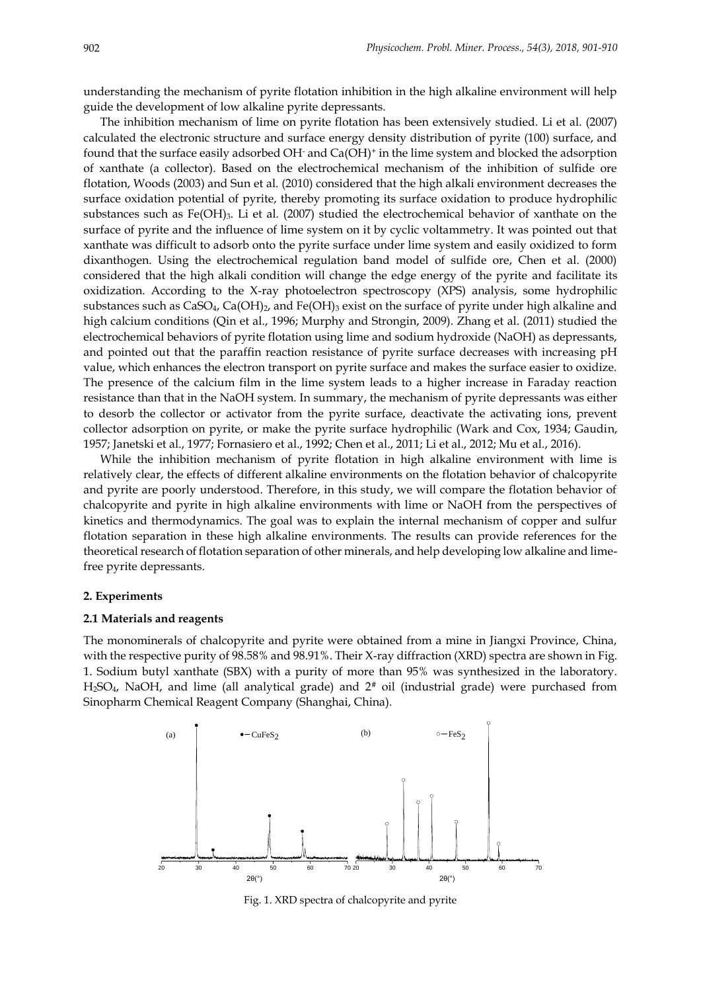understanding the mechanism of pyrite flotation inhibition in the high alkaline environment will help guide the development of low alkaline pyrite depressants.

The inhibition mechanism of lime on pyrite flotation has been extensively studied. Li et al. (2007) calculated the electronic structure and surface energy density distribution of pyrite (100) surface, and found that the surface easily adsorbed OH- and Ca(OH)<sup>+</sup> in the lime system and blocked the adsorption of xanthate (a collector). Based on the electrochemical mechanism of the inhibition of sulfide ore flotation, Woods (2003) and Sun et al. (2010) considered that the high alkali environment decreases the surface oxidation potential of pyrite, thereby promoting its surface oxidation to produce hydrophilic substances such as Fe(OH)<sub>3</sub>. Li et al. (2007) studied the electrochemical behavior of xanthate on the surface of pyrite and the influence of lime system on it by cyclic voltammetry. It was pointed out that xanthate was difficult to adsorb onto the pyrite surface under lime system and easily oxidized to form dixanthogen. Using the electrochemical regulation band model of sulfide ore, Chen et al. (2000) considered that the high alkali condition will change the edge energy of the pyrite and facilitate its oxidization. According to the X-ray photoelectron spectroscopy (XPS) analysis, some hydrophilic substances such as CaSO<sub>4</sub>, Ca(OH)<sub>2</sub>, and Fe(OH)<sub>3</sub> exist on the surface of pyrite under high alkaline and high calcium conditions (Qin et al., 1996; Murphy and Strongin, 2009). Zhang et al. (2011) studied the electrochemical behaviors of pyrite flotation using lime and sodium hydroxide (NaOH) as depressants, and pointed out that the paraffin reaction resistance of pyrite surface decreases with increasing pH value, which enhances the electron transport on pyrite surface and makes the surface easier to oxidize. The presence of the calcium film in the lime system leads to a higher increase in Faraday reaction resistance than that in the NaOH system. In summary, the mechanism of pyrite depressants was either to desorb the collector or activator from the pyrite surface, deactivate the activating ions, prevent collector adsorption on pyrite, or make the pyrite surface hydrophilic (Wark and Cox, 1934; Gaudin, 1957; Janetski et al., 1977; Fornasiero et al., 1992; Chen et al., 2011; Li et al., 2012; Mu et al., 2016).

While the inhibition mechanism of pyrite flotation in high alkaline environment with lime is relatively clear, the effects of different alkaline environments on the flotation behavior of chalcopyrite and pyrite are poorly understood. Therefore, in this study, we will compare the flotation behavior of chalcopyrite and pyrite in high alkaline environments with lime or NaOH from the perspectives of kinetics and thermodynamics. The goal was to explain the internal mechanism of copper and sulfur flotation separation in these high alkaline environments. The results can provide references for the theoretical research of flotation separation of other minerals, and help developing low alkaline and limefree pyrite depressants.

### **2. Experiments**

#### **2.1 Materials and reagents**

The monominerals of chalcopyrite and pyrite were obtained from a mine in Jiangxi Province, China, with the respective purity of 98.58% and 98.91%. Their X-ray diffraction (XRD) spectra are shown in Fig. 1. Sodium butyl xanthate (SBX) with a purity of more than 95% was synthesized in the laboratory. H<sub>2</sub>SO<sub>4</sub>, NaOH, and lime (all analytical grade) and  $2^*$  oil (industrial grade) were purchased from Sinopharm Chemical Reagent Company (Shanghai, China).



Fig. 1. XRD spectra of chalcopyrite and pyrite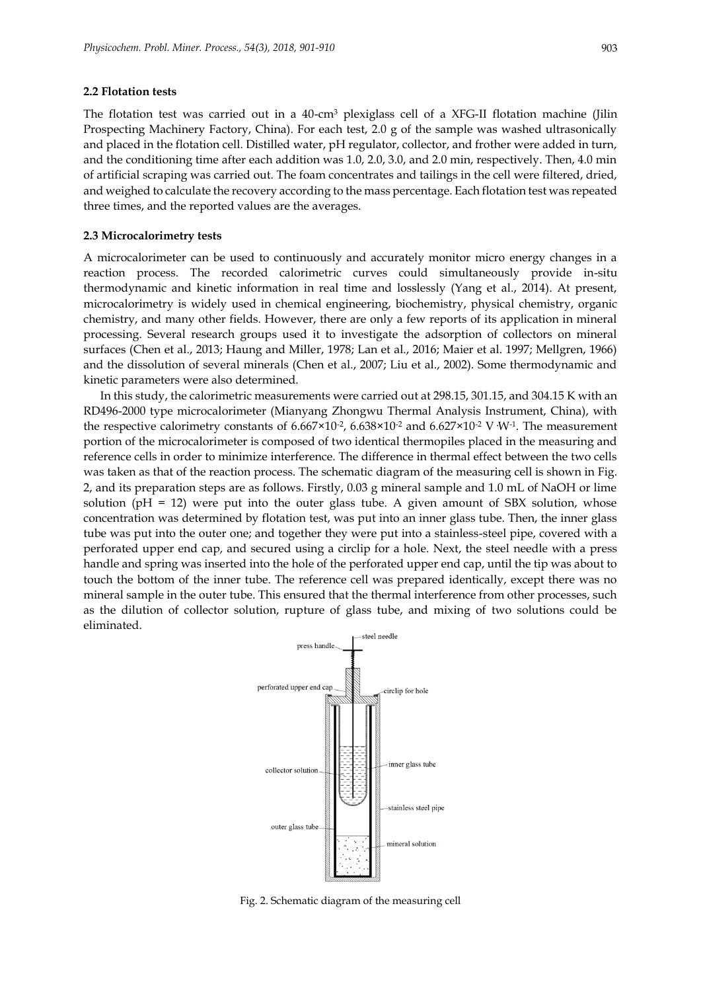#### **2.2 Flotation tests**

The flotation test was carried out in a 40-cm<sup>3</sup> plexiglass cell of a XFG-II flotation machine (Jilin Prospecting Machinery Factory, China). For each test, 2.0 g of the sample was washed ultrasonically and placed in the flotation cell. Distilled water, pH regulator, collector, and frother were added in turn, and the conditioning time after each addition was 1.0, 2.0, 3.0, and 2.0 min, respectively. Then, 4.0 min of artificial scraping was carried out. The foam concentrates and tailings in the cell were filtered, dried, and weighed to calculate the recovery according to the mass percentage. Each flotation test was repeated three times, and the reported values are the averages.

#### **2.3 Microcalorimetry tests**

A microcalorimeter can be used to continuously and accurately monitor micro energy changes in a reaction process. The recorded calorimetric curves could simultaneously provide in-situ thermodynamic and kinetic information in real time and losslessly (Yang et al., 2014). At present, microcalorimetry is widely used in chemical engineering, biochemistry, physical chemistry, organic chemistry, and many other fields. However, there are only a few reports of its application in mineral processing. Several research groups used it to investigate the adsorption of collectors on mineral surfaces (Chen et al., 2013; Haung and Miller, 1978; Lan et al., 2016; Maier et al. 1997; Mellgren, 1966) and the dissolution of several minerals (Chen et al., 2007; Liu et al., 2002). Some thermodynamic and kinetic parameters were also determined.

In this study, the calorimetric measurements were carried out at 298.15, 301.15, and 304.15 K with an RD496-2000 type microcalorimeter (Mianyang Zhongwu Thermal Analysis Instrument, China), with the respective calorimetry constants of  $6.667 \times 10^{2}$ ,  $6.638 \times 10^{2}$  and  $6.627 \times 10^{2}$  V W<sup>-1</sup>. The measurement portion of the microcalorimeter is composed of two identical thermopiles placed in the measuring and reference cells in order to minimize interference. The difference in thermal effect between the two cells was taken as that of the reaction process. The schematic diagram of the measuring cell is shown in Fig. 2, and its preparation steps are as follows. Firstly, 0.03 g mineral sample and 1.0 mL of NaOH or lime solution ( $pH = 12$ ) were put into the outer glass tube. A given amount of SBX solution, whose concentration was determined by flotation test, was put into an inner glass tube. Then, the inner glass tube was put into the outer one; and together they were put into a stainless-steel pipe, covered with a perforated upper end cap, and secured using a circlip for a hole. Next, the steel needle with a press handle and spring was inserted into the hole of the perforated upper end cap, until the tip was about to touch the bottom of the inner tube. The reference cell was prepared identically, except there was no mineral sample in the outer tube. This ensured that the thermal interference from other processes, such as the dilution of collector solution, rupture of glass tube, and mixing of two solutions could be eliminated.



Fig. 2. Schematic diagram of the measuring cell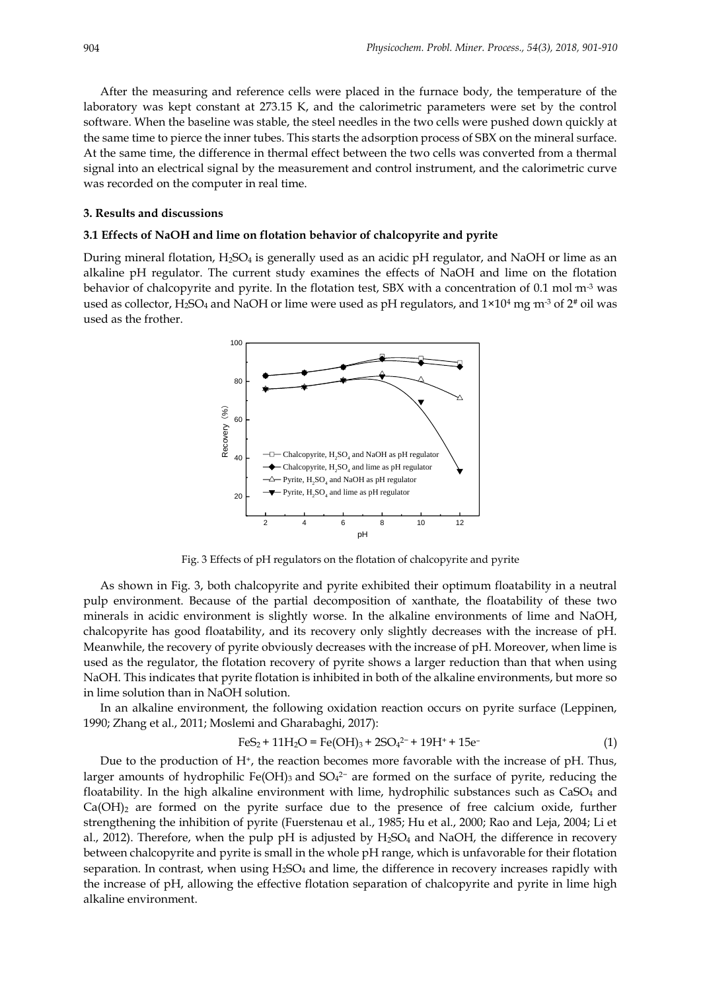After the measuring and reference cells were placed in the furnace body, the temperature of the laboratory was kept constant at 273.15 K, and the calorimetric parameters were set by the control software. When the baseline was stable, the steel needles in the two cells were pushed down quickly at the same time to pierce the inner tubes. This starts the adsorption process of SBX on the mineral surface. At the same time, the difference in thermal effect between the two cells was converted from a thermal signal into an electrical signal by the measurement and control instrument, and the calorimetric curve was recorded on the computer in real time.

#### **3. Results and discussions**

## **3.1 Effects of NaOH and lime on flotation behavior of chalcopyrite and pyrite**

During mineral flotation, H2SO<sup>4</sup> is generally used as an acidic pH regulator, and NaOH or lime as an alkaline pH regulator. The current study examines the effects of NaOH and lime on the flotation behavior of chalcopyrite and pyrite. In the flotation test, SBX with a concentration of 0.1 mol m<sup>-3</sup> was used as collector, H<sub>2</sub>SO<sub>4</sub> and NaOH or lime were used as pH regulators, and  $1\times10^4$  mg m<sup>-3</sup> of  $2^*$  oil was used as the frother.



Fig. 3 Effects of pH regulators on the flotation of chalcopyrite and pyrite

As shown in Fig. 3, both chalcopyrite and pyrite exhibited their optimum floatability in a neutral pulp environment. Because of the partial decomposition of xanthate, the floatability of these two minerals in acidic environment is slightly worse. In the alkaline environments of lime and NaOH, chalcopyrite has good floatability, and its recovery only slightly decreases with the increase of pH. Meanwhile, the recovery of pyrite obviously decreases with the increase of pH. Moreover, when lime is used as the regulator, the flotation recovery of pyrite shows a larger reduction than that when using NaOH. This indicates that pyrite flotation is inhibited in both of the alkaline environments, but more so in lime solution than in NaOH solution.

In an alkaline environment, the following oxidation reaction occurs on pyrite surface (Leppinen, 1990; Zhang et al., 2011; Moslemi and Gharabaghi, 2017):

$$
FeS_2 + 11H_2O = Fe(OH)_3 + 2SO_4^{2-} + 19H^+ + 15e^-
$$
 (1)

Due to the production of H<sup>+</sup>, the reaction becomes more favorable with the increase of pH. Thus, larger amounts of hydrophilic Fe(OH)<sub>3</sub> and SO<sub>4</sub><sup>2–</sup> are formed on the surface of pyrite, reducing the floatability. In the high alkaline environment with lime, hydrophilic substances such as  $CaSO<sub>4</sub>$  and  $Ca(OH)_2$  are formed on the pyrite surface due to the presence of free calcium oxide, further strengthening the inhibition of pyrite (Fuerstenau et al., 1985; Hu et al., 2000; Rao and Leja, 2004; Li et al., 2012). Therefore, when the pulp pH is adjusted by  $H_2SO_4$  and NaOH, the difference in recovery between chalcopyrite and pyrite is small in the whole pH range, which is unfavorable for their flotation separation. In contrast, when using  $H_2SO_4$  and lime, the difference in recovery increases rapidly with the increase of pH, allowing the effective flotation separation of chalcopyrite and pyrite in lime high alkaline environment.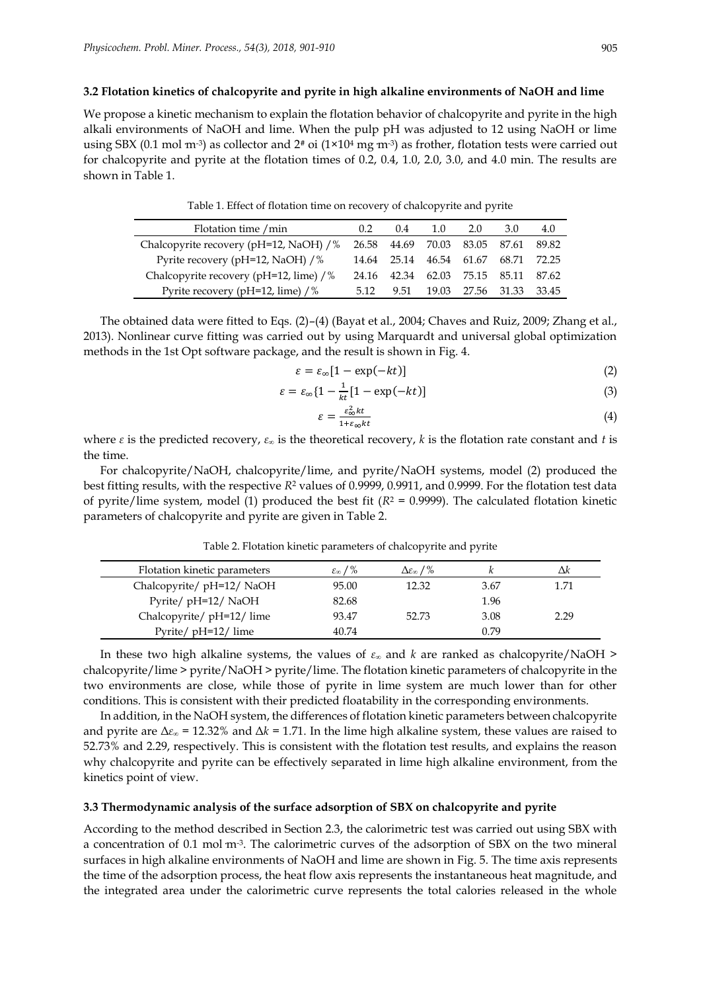#### **3.2 Flotation kinetics of chalcopyrite and pyrite in high alkaline environments of NaOH and lime**

We propose a kinetic mechanism to explain the flotation behavior of chalcopyrite and pyrite in the high alkali environments of NaOH and lime. When the pulp pH was adjusted to 12 using NaOH or lime using SBX (0.1 mol m<sup>-3</sup>) as collector and 2<sup>#</sup> oi (1×10<sup>4</sup> mg m<sup>-3</sup>) as frother, flotation tests were carried out for chalcopyrite and pyrite at the flotation times of 0.2, 0.4, 1.0, 2.0, 3.0, and 4.0 min. The results are shown in Table 1.

| Table 1. Effect of flotation time on recovery of chalcopyrite and pyrite |  |  |
|--------------------------------------------------------------------------|--|--|
|--------------------------------------------------------------------------|--|--|

| Flotation time / min                        | $0.2^{\circ}$ | 0.4   | 1.0                                 | 2.0               | 3.0 | 4.0         |
|---------------------------------------------|---------------|-------|-------------------------------------|-------------------|-----|-------------|
| Chalcopyrite recovery (pH=12, NaOH) /%      |               |       | 26.58 44.69 70.03 83.05 87.61 89.82 |                   |     |             |
| Pyrite recovery (pH=12, NaOH) /%            |               |       | 14.64 25.14 46.54 61.67             |                   |     | 68.71 72.25 |
| Chalcopyrite recovery (pH=12, lime) /%      | 24.16         | 42.34 | 62.03 75.15 85.11 87.62             |                   |     |             |
| Pyrite recovery (pH=12, lime) $\frac{1}{6}$ | 5.12          | 9.51  |                                     | 19.03 27.56 31.33 |     | 33.45       |

The obtained data were fitted to Eqs. (2)–(4) (Bayat et al., 2004; Chaves and Ruiz, 2009; Zhang et al., 2013). Nonlinear curve fitting was carried out by using Marquardt and universal global optimization methods in the 1st Opt software package, and the result is shown in Fig. 4.

$$
\varepsilon = \varepsilon_{\infty} [1 - \exp(-kt)] \tag{2}
$$

$$
\varepsilon = \varepsilon_{\infty} \{ 1 - \frac{1}{kt} [1 - \exp(-kt)] \tag{3}
$$

$$
\varepsilon = \frac{\varepsilon_{\infty}^2 kt}{1 + \varepsilon_{\infty} kt} \tag{4}
$$

where  $\varepsilon$  is the predicted recovery,  $\varepsilon_{\infty}$  is the theoretical recovery, k is the flotation rate constant and t is the time.

For chalcopyrite/NaOH, chalcopyrite/lime, and pyrite/NaOH systems, model (2) produced the best fitting results, with the respective *R*<sup>2</sup> values of 0.9999, 0.9911, and 0.9999. For the flotation test data of pyrite/lime system, model (1) produced the best fit (*R*<sup>2</sup> = 0.9999). The calculated flotation kinetic parameters of chalcopyrite and pyrite are given in Table 2.

| Flotation kinetic parameters | $\varepsilon_{\infty}$ / % | $\Delta \varepsilon_{\infty}$ / % |      | Λk   |
|------------------------------|----------------------------|-----------------------------------|------|------|
| Chalcopyrite/ pH=12/ NaOH    | 95.00                      | 12.32                             | 3.67 | 1.71 |
| Pyrite/ pH=12/ NaOH          | 82.68                      |                                   | 1.96 |      |
| Chalcopyrite/ pH=12/ lime    | 93.47                      | 52.73                             | 3.08 | 2.29 |
| Pyrite/ pH=12/ lime          | 40.74                      |                                   | 0.79 |      |

Table 2. Flotation kinetic parameters of chalcopyrite and pyrite

In these two high alkaline systems, the values of *ε<sup>∞</sup>* and *k* are ranked as chalcopyrite/NaOH > chalcopyrite/lime > pyrite/NaOH > pyrite/lime. The flotation kinetic parameters of chalcopyrite in the two environments are close, while those of pyrite in lime system are much lower than for other conditions. This is consistent with their predicted floatability in the corresponding environments.

In addition, in the NaOH system, the differences of flotation kinetic parameters between chalcopyrite and pyrite are  $\Delta \varepsilon_{\infty}$  = 12.32% and  $\Delta k$  = 1.71. In the lime high alkaline system, these values are raised to 52.73% and 2.29, respectively. This is consistent with the flotation test results, and explains the reason why chalcopyrite and pyrite can be effectively separated in lime high alkaline environment, from the kinetics point of view.

## **3.3 Thermodynamic analysis of the surface adsorption of SBX on chalcopyrite and pyrite**

According to the method described in Section 2.3, the calorimetric test was carried out using SBX with a concentration of 0.1 mol  $m<sup>-3</sup>$ . The calorimetric curves of the adsorption of SBX on the two mineral surfaces in high alkaline environments of NaOH and lime are shown in Fig. 5. The time axis represents the time of the adsorption process, the heat flow axis represents the instantaneous heat magnitude, and the integrated area under the calorimetric curve represents the total calories released in the whole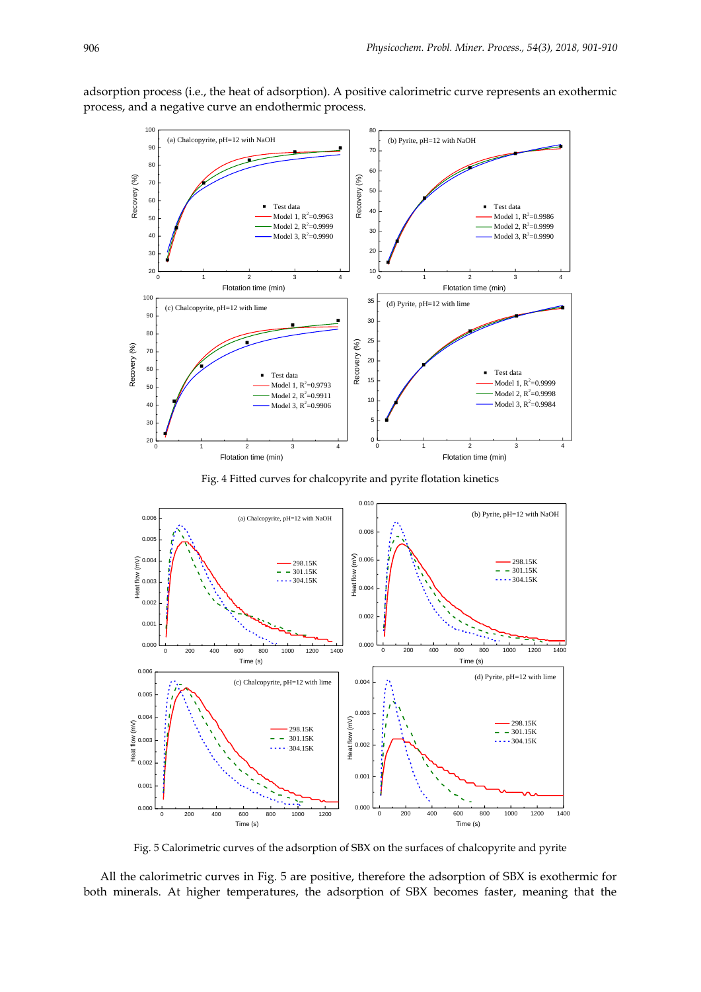



Fig. 4 Fitted curves for chalcopyrite and pyrite flotation kinetics



Fig. 5 Calorimetric curves of the adsorption of SBX on the surfaces of chalcopyrite and pyrite

All the calorimetric curves in Fig. 5 are positive, therefore the adsorption of SBX is exothermic for both minerals. At higher temperatures, the adsorption of SBX becomes faster, meaning that the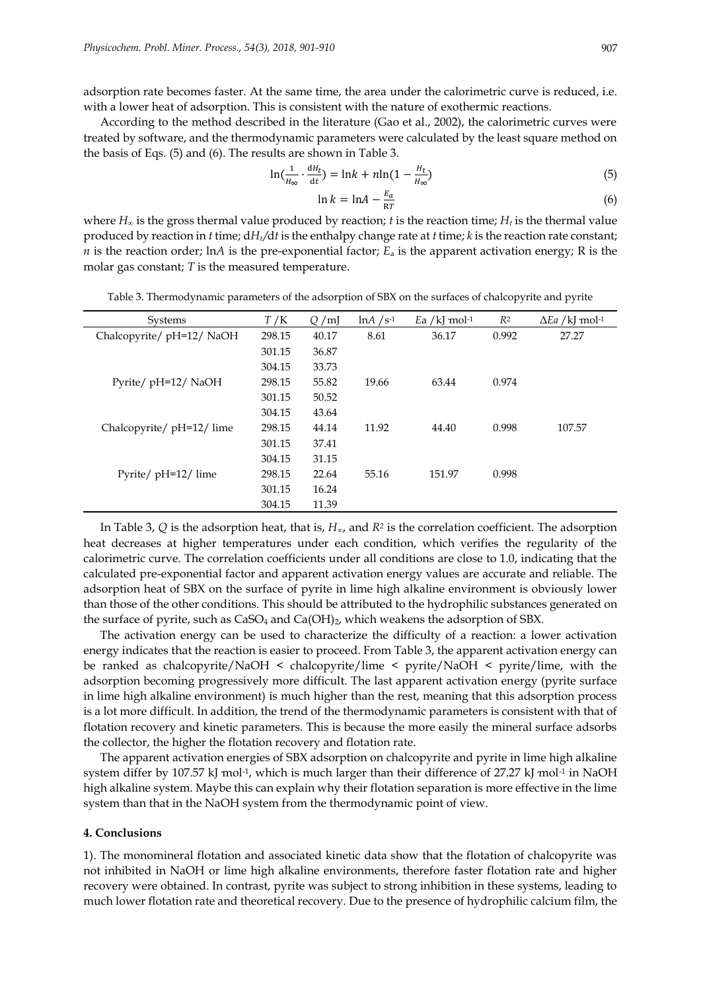adsorption rate becomes faster. At the same time, the area under the calorimetric curve is reduced, i.e. with a lower heat of adsorption. This is consistent with the nature of exothermic reactions.

According to the method described in the literature (Gao et al., 2002), the calorimetric curves were treated by software, and the thermodynamic parameters were calculated by the least square method on the basis of Eqs. (5) and (6). The results are shown in Table 3.

$$
\ln\left(\frac{1}{H_{\infty}} \cdot \frac{dH_t}{dt}\right) = \ln k + n \ln\left(1 - \frac{H_t}{H_{\infty}}\right) \tag{5}
$$

$$
\ln k = \ln A - \frac{E_a}{RT} \tag{6}
$$

where  $H_{\infty}$  is the gross thermal value produced by reaction; *t* is the reaction time;  $H_t$  is the thermal value produced by reaction in *t* time; d*Ht /*d*t* is the enthalpy change rate at *t* time; *k* is the reaction rate constant; *n* is the reaction order; ln*A* is the pre-exponential factor;  $E_a$  is the apparent activation energy; R is the molar gas constant; *T* is the measured temperature.

| <b>Systems</b>            | T/K    | Q/mJ  | $\ln A / S^{-1}$ | Ea /kJ mol $-1$ | R <sup>2</sup> | $\Delta Ea$ /kJ mol-1 |
|---------------------------|--------|-------|------------------|-----------------|----------------|-----------------------|
| Chalcopyrite/ pH=12/ NaOH | 298.15 | 40.17 | 8.61             | 36.17           | 0.992          | 27.27                 |
|                           | 301.15 | 36.87 |                  |                 |                |                       |
|                           | 304.15 | 33.73 |                  |                 |                |                       |
| Pyrite/ pH=12/ NaOH       | 298.15 | 55.82 | 19.66            | 63.44           | 0.974          |                       |
|                           | 301.15 | 50.52 |                  |                 |                |                       |
|                           | 304.15 | 43.64 |                  |                 |                |                       |
| Chalcopyrite/ pH=12/ lime | 298.15 | 44.14 | 11.92            | 44.40           | 0.998          | 107.57                |
|                           | 301.15 | 37.41 |                  |                 |                |                       |
|                           | 304.15 | 31.15 |                  |                 |                |                       |
| Pyrite/ pH=12/ lime       | 298.15 | 22.64 | 55.16            | 151.97          | 0.998          |                       |
|                           | 301.15 | 16.24 |                  |                 |                |                       |
|                           | 304.15 | 11.39 |                  |                 |                |                       |

Table 3. Thermodynamic parameters of the adsorption of SBX on the surfaces of chalcopyrite and pyrite

In Table 3, *Q* is the adsorption heat, that is, *H∞*, and *R<sup>2</sup>* is the correlation coefficient. The adsorption heat decreases at higher temperatures under each condition, which verifies the regularity of the calorimetric curve. The correlation coefficients under all conditions are close to 1.0, indicating that the calculated pre-exponential factor and apparent activation energy values are accurate and reliable. The adsorption heat of SBX on the surface of pyrite in lime high alkaline environment is obviously lower than those of the other conditions. This should be attributed to the hydrophilic substances generated on the surface of pyrite, such as  $CaSO<sub>4</sub>$  and  $Ca(OH)<sub>2</sub>$ , which weakens the adsorption of SBX.

The activation energy can be used to characterize the difficulty of a reaction: a lower activation energy indicates that the reaction is easier to proceed. From Table 3, the apparent activation energy can be ranked as chalcopyrite/NaOH < chalcopyrite/lime < pyrite/NaOH < pyrite/lime, with the adsorption becoming progressively more difficult. The last apparent activation energy (pyrite surface in lime high alkaline environment) is much higher than the rest, meaning that this adsorption process is a lot more difficult. In addition, the trend of the thermodynamic parameters is consistent with that of flotation recovery and kinetic parameters. This is because the more easily the mineral surface adsorbs the collector, the higher the flotation recovery and flotation rate.

The apparent activation energies of SBX adsorption on chalcopyrite and pyrite in lime high alkaline system differ by 107.57 kJ mol<sup>-1</sup>, which is much larger than their difference of 27.27 kJ mol<sup>-1</sup> in NaOH high alkaline system. Maybe this can explain why their flotation separation is more effective in the lime system than that in the NaOH system from the thermodynamic point of view.

#### **4. Conclusions**

1). The monomineral flotation and associated kinetic data show that the flotation of chalcopyrite was not inhibited in NaOH or lime high alkaline environments, therefore faster flotation rate and higher recovery were obtained. In contrast, pyrite was subject to strong inhibition in these systems, leading to much lower flotation rate and theoretical recovery. Due to the presence of hydrophilic calcium film, the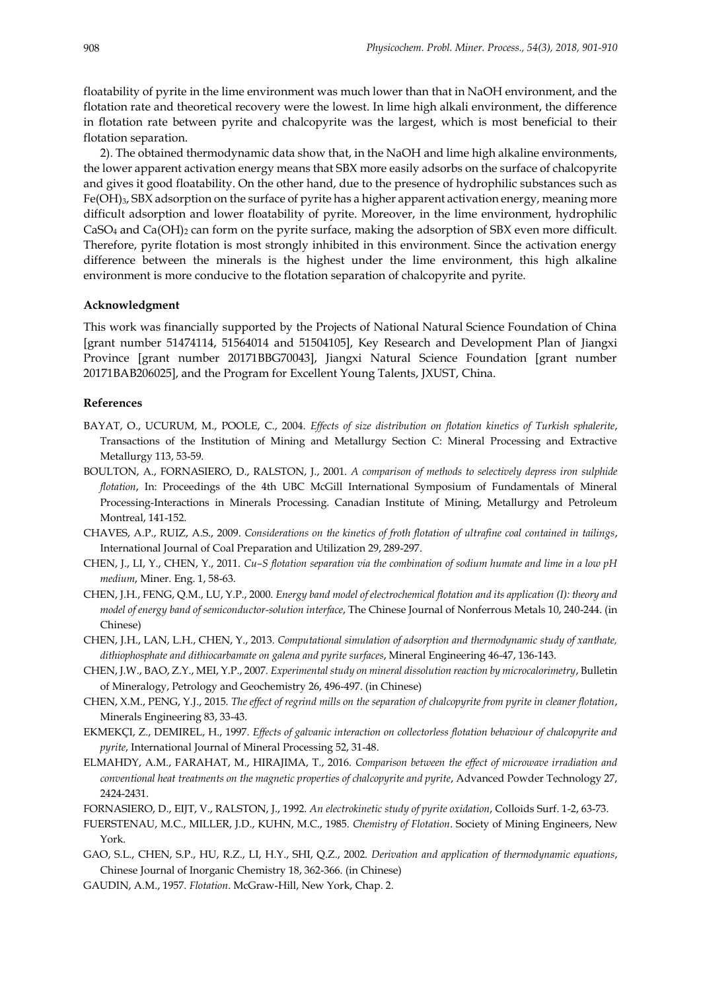floatability of pyrite in the lime environment was much lower than that in NaOH environment, and the flotation rate and theoretical recovery were the lowest. In lime high alkali environment, the difference in flotation rate between pyrite and chalcopyrite was the largest, which is most beneficial to their flotation separation.

2). The obtained thermodynamic data show that, in the NaOH and lime high alkaline environments, the lower apparent activation energy means that SBX more easily adsorbs on the surface of chalcopyrite and gives it good floatability. On the other hand, due to the presence of hydrophilic substances such as Fe(OH)3, SBX adsorption on the surface of pyrite has a higher apparent activation energy, meaning more difficult adsorption and lower floatability of pyrite. Moreover, in the lime environment, hydrophilic  $CaSO<sub>4</sub>$  and  $Ca(OH)<sub>2</sub>$  can form on the pyrite surface, making the adsorption of SBX even more difficult. Therefore, pyrite flotation is most strongly inhibited in this environment. Since the activation energy difference between the minerals is the highest under the lime environment, this high alkaline environment is more conducive to the flotation separation of chalcopyrite and pyrite.

## **Acknowledgment**

This work was financially supported by the Projects of National Natural Science Foundation of China [grant number 51474114, 51564014 and 51504105], Key Research and Development Plan of Jiangxi Province [grant number 20171BBG70043], Jiangxi Natural Science Foundation [grant number 20171BAB206025], and the Program for Excellent Young Talents, JXUST, China.

#### **References**

- BAYAT, O., UCURUM, M., POOLE, C., 2004. *Effects of size distribution on flotation kinetics of Turkish sphalerite*, Transactions of the Institution of Mining and Metallurgy Section C: Mineral Processing and Extractive Metallurgy 113, 53-59.
- BOULTON, A., FORNASIERO, D., RALSTON, J., 2001. *A comparison of methods to selectively depress iron sulphide flotation*, In: Proceedings of the 4th UBC McGill International Symposium of Fundamentals of Mineral Processing-Interactions in Minerals Processing. Canadian Institute of Mining, Metallurgy and Petroleum Montreal, 141-152.
- CHAVES, A.P., RUIZ, A.S., 2009. *Considerations on the kinetics of froth flotation of ultrafine coal contained in tailings*, International Journal of Coal Preparation and Utilization 29, 289-297.
- CHEN, J., LI, Y., CHEN, Y., 2011. *Cu–S flotation separation via the combination of sodium humate and lime in a low pH medium*, Miner. Eng. 1, 58-63.
- CHEN, J.H., FENG, Q.M., LU, Y.P., 2000. *Energy band model of electrochemical flotation and its application (I): theory and model of energy band of semiconductor-solution interface*, The Chinese Journal of Nonferrous Metals 10, 240-244. (in Chinese)
- CHEN, J.H., LAN, L.H., CHEN, Y., 2013. *Computational simulation of adsorption and thermodynamic study of xanthate, dithiophosphate and dithiocarbamate on galena and pyrite surfaces*, Mineral Engineering 46-47, 136-143.
- CHEN, J.W., BAO, Z.Y., MEI, Y.P., 2007. *Experimental study on mineral dissolution reaction by microcalorimetry*, Bulletin of Mineralogy, Petrology and Geochemistry 26, 496-497. (in Chinese)
- CHEN, X.M., PENG, Y.J., 2015. *The effect of regrind mills on the separation of chalcopyrite from pyrite in cleaner flotation*, Minerals Engineering 83, 33-43.
- EKMEKÇI, Z., DEMIREL, H., 1997. *Effects of galvanic interaction on collectorless flotation behaviour of chalcopyrite and pyrite*, International Journal of Mineral Processing 52, 31-48.
- ELMAHDY, A.M., FARAHAT, M., HIRAJIMA, T., 2016. *Comparison between the effect of microwave irradiation and conventional heat treatments on the magnetic properties of chalcopyrite and pyrite*, Advanced Powder Technology 27, 2424-2431.
- FORNASIERO, D., EIJT, V., RALSTON, J., 1992. *An electrokinetic study of pyrite oxidation*, Colloids Surf. 1-2, 63-73.
- FUERSTENAU, M.C., MILLER, J.D., KUHN, M.C., 1985. *Chemistry of Flotation*. Society of Mining Engineers, New York.
- GAO, S.L., CHEN, S.P., HU, R.Z., LI, H.Y., SHI, Q.Z., 2002. *Derivation and application of thermodynamic equations*, Chinese Journal of Inorganic Chemistry 18, 362-366. (in Chinese)
- GAUDIN, A.M., 1957. *Flotation*. McGraw-Hill, New York, Chap. 2.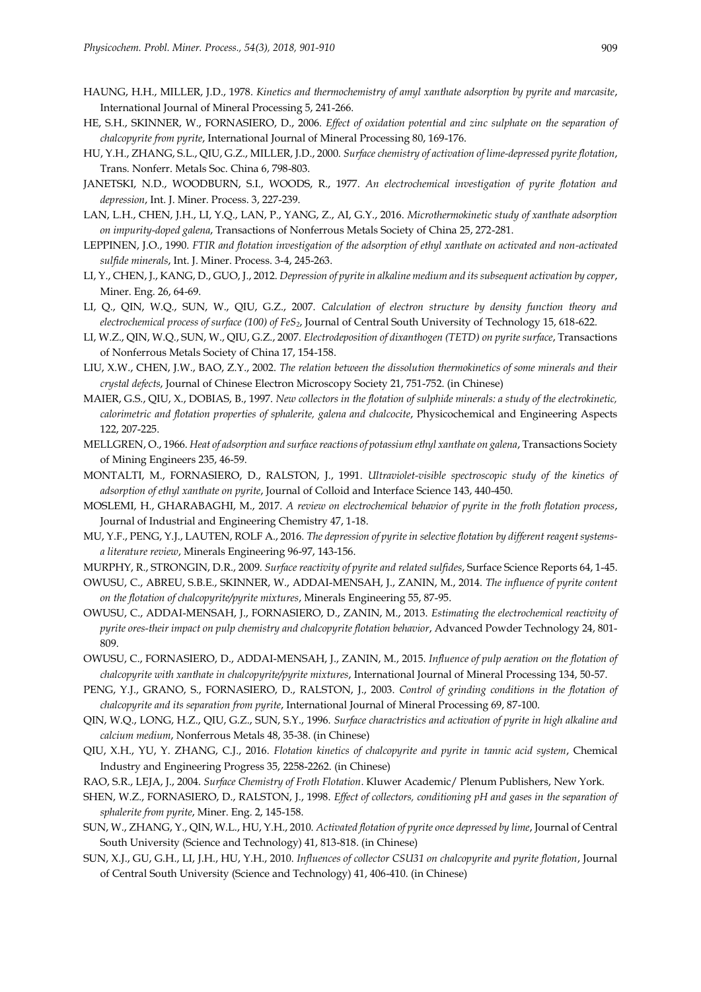- HAUNG, H.H., MILLER, J.D., 1978. *Kinetics and thermochemistry of amyl xanthate adsorption by pyrite and marcasite*, International Journal of Mineral Processing 5, 241-266.
- HE, S.H., SKINNER, W., FORNASIERO, D., 2006. *Effect of oxidation potential and zinc sulphate on the separation of chalcopyrite from pyrite*, International Journal of Mineral Processing 80, 169-176.
- HU, Y.H., ZHANG, S.L., QIU, G.Z., MILLER, J.D., 2000. *Surface chemistry of activation of lime-depressed pyrite flotation*, Trans. Nonferr. Metals Soc. China 6, 798-803.
- JANETSKI, N.D., WOODBURN, S.I., WOODS, R., 1977. *An electrochemical investigation of pyrite flotation and depression*, Int. J. Miner. Process. 3, 227-239.
- LAN, L.H., CHEN, J.H., LI, Y.Q., LAN, P., YANG, Z., AI, G.Y., 2016. *Microthermokinetic study of xanthate adsorption on impurity-doped galena*, Transactions of Nonferrous Metals Society of China 25, 272-281.
- LEPPINEN, J.O., 1990. *FTIR and flotation investigation of the adsorption of ethyl xanthate on activated and non-activated sulfide minerals*, Int. J. Miner. Process. 3-4, 245-263.
- LI, Y., CHEN, J., KANG, D., GUO, J., 2012. *Depression of pyrite in alkaline medium and its subsequent activation by copper*, Miner. Eng. 26, 64-69.
- LI, Q., QIN, W.Q., SUN, W., QIU, G.Z., 2007. *Calculation of electron structure by density function theory and electrochemical process of surface (100) of FeS2*, Journal of Central South University of Technology 15, 618-622.
- LI, W.Z., QIN, W.Q., SUN, W., QIU, G.Z., 2007. *Electrodeposition of dixanthogen (TETD) on pyrite surface*, Transactions of Nonferrous Metals Society of China 17, 154-158.
- LIU, X.W., CHEN, J.W., BAO, Z.Y., 2002. *The relation between the dissolution thermokinetics of some minerals and their crystal defects*, Journal of Chinese Electron Microscopy Society 21, 751-752. (in Chinese)
- MAIER, G.S., QIU, X., DOBIAS, B., 1997. *New collectors in the flotation of sulphide minerals: a study of the electrokinetic, calorimetric and flotation properties of sphalerite, galena and chalcocite*, Physicochemical and Engineering Aspects 122, 207-225.
- MELLGREN, O., 1966. *Heat of adsorption and surface reactions of potassium ethyl xanthate on galena*, Transactions Society of Mining Engineers 235, 46-59.
- MONTALTI, M., FORNASIERO, D., RALSTON, J., 1991. *Ultraviolet-visible spectroscopic study of the kinetics of adsorption of ethyl xanthate on pyrite*, Journal of Colloid and Interface Science 143, 440-450.
- MOSLEMI, H., GHARABAGHI, M., 2017. *A review on electrochemical behavior of pyrite in the froth flotation process*, Journal of Industrial and Engineering Chemistry 47, 1-18.
- MU, Y.F., PENG, Y.J., LAUTEN, ROLF A., 2016. *The depression of pyrite in selective flotation by different reagent systemsa literature review*, Minerals Engineering 96-97, 143-156.
- MURPHY, R., STRONGIN, D.R., 2009. *Surface reactivity of pyrite and related sulfides*, Surface Science Reports 64, 1-45.
- OWUSU, C., ABREU, S.B.E., SKINNER, W., ADDAI-MENSAH, J., ZANIN, M., 2014. *The influence of pyrite content on the flotation of chalcopyrite/pyrite mixtures*, Minerals Engineering 55, 87-95.
- OWUSU, C., ADDAI-MENSAH, J., FORNASIERO, D., ZANIN, M., 2013. *Estimating the electrochemical reactivity of pyrite ores-their impact on pulp chemistry and chalcopyrite flotation behavior*, Advanced Powder Technology 24, 801-809.
- OWUSU, C., FORNASIERO, D., ADDAI-MENSAH, J., ZANIN, M., 2015. *Influence of pulp aeration on the flotation of chalcopyrite with xanthate in chalcopyrite/pyrite mixtures*, International Journal of Mineral Processing 134, 50-57.
- PENG, Y.J., GRANO, S., FORNASIERO, D., RALSTON, J., 2003. *Control of grinding conditions in the flotation of chalcopyrite and its separation from pyrite*, International Journal of Mineral Processing 69, 87-100.
- QIN, W.Q., LONG, H.Z., QIU, G.Z., SUN, S.Y., 1996. *Surface charactristics and activation of pyrite in high alkaline and calcium medium*, Nonferrous Metals 48, 35-38. (in Chinese)
- QIU, X.H., YU, Y. ZHANG, C.J., 2016. *Flotation kinetics of chalcopyrite and pyrite in tannic acid system*, Chemical Industry and Engineering Progress 35, 2258-2262. (in Chinese)
- RAO, S.R., LEJA, J., 2004. *Surface Chemistry of Froth Flotation*. Kluwer Academic/ Plenum Publishers, New York.
- SHEN, W.Z., FORNASIERO, D., RALSTON, J., 1998. *Effect of collectors, conditioning pH and gases in the separation of sphalerite from pyrite*, Miner. Eng. 2, 145-158.
- SUN, W., ZHANG, Y., QIN, W.L., HU, Y.H., 2010. *Activated flotation of pyrite once depressed by lime*, Journal of Central South University (Science and Technology) 41, 813-818. (in Chinese)
- SUN, X.J., GU, G.H., LI, J.H., HU, Y.H., 2010. *Influences of collector CSU31 on chalcopyrite and pyrite flotation*, Journal of Central South University (Science and Technology) 41, 406-410. (in Chinese)